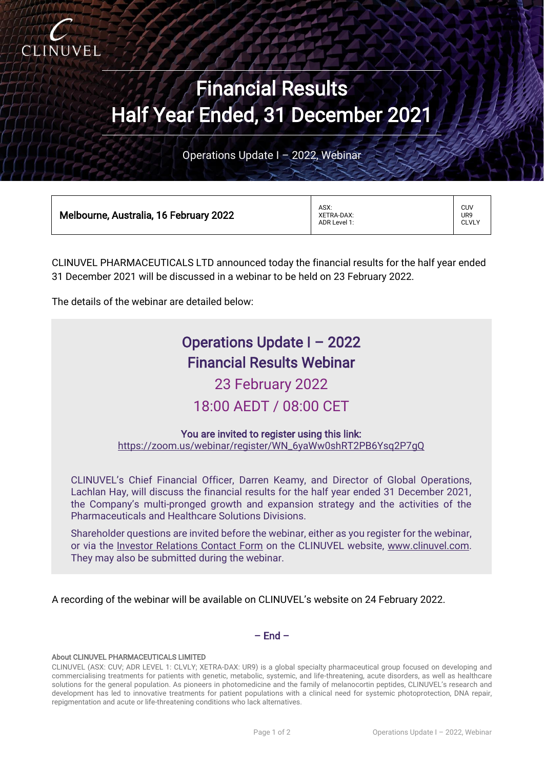

# Financial Results Half Year Ended, 31 December 2021

Operations Update I – 2022, Webinar

| Melbourne, Australia, 16 February 2022 | ASX:<br>XETRA-DAX:<br>ADR Level 1: | CUV<br>UR9<br><b>CLVLY</b> |
|----------------------------------------|------------------------------------|----------------------------|
|----------------------------------------|------------------------------------|----------------------------|

CLINUVEL PHARMACEUTICALS LTD announced today the financial results for the half year ended 31 December 2021 will be discussed in a webinar to be held on 23 February 2022.

The details of the webinar are detailed below:

# Operations Update I – 2022 Financial Results Webinar

23 February 2022 18:00 AEDT / 08:00 CET

### You are invited to register using this link:

[https://zoom.us/webinar/register/WN\\_6yaWw0shRT2PB6Ysq2P7gQ](https://zoom.us/webinar/register/WN_6yaWw0shRT2PB6Ysq2P7gQ)

CLINUVEL's Chief Financial Officer, Darren Keamy, and Director of Global Operations, Lachlan Hay, will discuss the financial results for the half year ended 31 December 2021, the Company's multi-pronged growth and expansion strategy and the activities of the Pharmaceuticals and Healthcare Solutions Divisions.

Shareholder questions are invited before the webinar, either as you register for the webinar, or via the [Investor Relations Contact Form](https://www.clinuvel.com/investor-relations-contact-form/) on the CLINUVEL website, [www.clinuvel.com.](http://www.clinuvel.com/) They may also be submitted during the webinar.

A recording of the webinar will be available on CLINUVEL's website on 24 February 2022.

## $-$  End  $-$

#### About CLINUVEL PHARMACEUTICALS LIMITED

CLINUVEL (ASX: CUV; ADR LEVEL 1: CLVLY; XETRA-DAX: UR9) is a global specialty pharmaceutical group focused on developing and commercialising treatments for patients with genetic, metabolic, systemic, and life-threatening, acute disorders, as well as healthcare solutions for the general population. As pioneers in photomedicine and the family of melanocortin peptides, CLINUVEL's research and development has led to innovative treatments for patient populations with a clinical need for systemic photoprotection, DNA repair, repigmentation and acute or life-threatening conditions who lack alternatives.